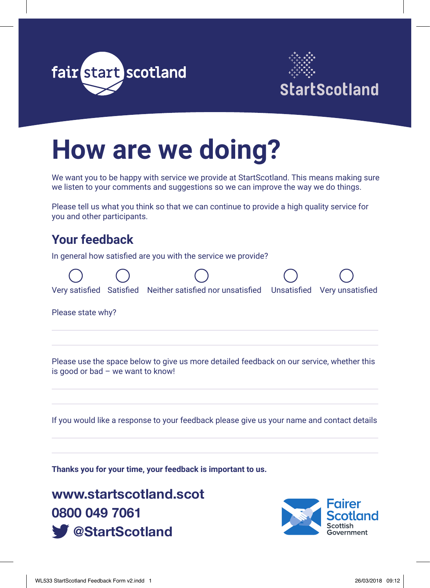



# **How are we doing?**

We want you to be happy with service we provide at StartScotland. This means making sure we listen to your comments and suggestions so we can improve the way we do things.

Please tell us what you think so that we can continue to provide a high quality service for you and other participants.

### **Your feedback**

In general how satisfied are you with the service we provide?



Please state why?

Please use the space below to give us more detailed feedback on our service, whether this is good or bad – we want to know!

If you would like a response to your feedback please give us your name and contact details

**Thanks you for your time, your feedback is important to us.** 

**www.startscotland.scot 0800 049 7061 @StartScotland**